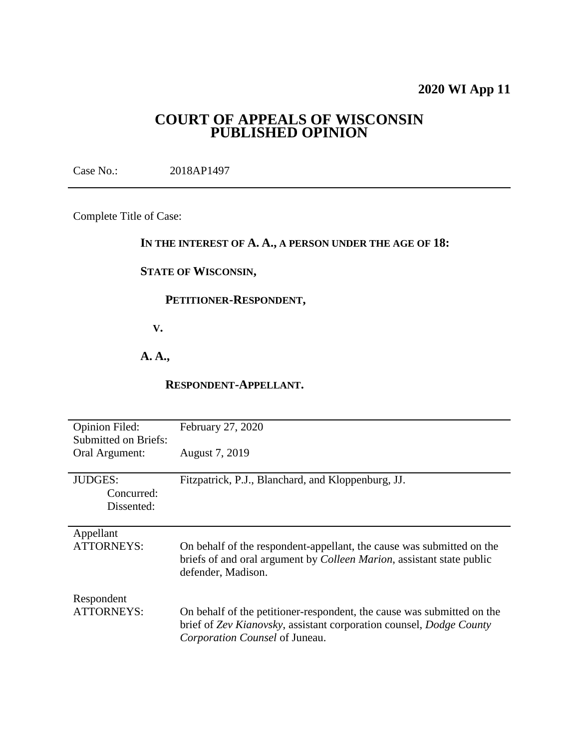# **2020 WI App 11**

# **COURT OF APPEALS OF WISCONSIN PUBLISHED OPINION**

Case No.: 2018AP1497

Complete Title of Case:

### **IN THE INTEREST OF A. A., A PERSON UNDER THE AGE OF 18:**

#### **STATE OF WISCONSIN,**

# **PETITIONER-RESPONDENT,**

 **V.**

# **A. A.,**

#### **RESPONDENT-APPELLANT.**

| <b>Opinion Filed:</b><br><b>Submitted on Briefs:</b><br>Oral Argument: | February 27, 2020<br>August 7, 2019                                                                                                                                             |
|------------------------------------------------------------------------|---------------------------------------------------------------------------------------------------------------------------------------------------------------------------------|
| <b>JUDGES:</b><br>Concurred:<br>Dissented:                             | Fitzpatrick, P.J., Blanchard, and Kloppenburg, JJ.                                                                                                                              |
| Appellant<br><b>ATTORNEYS:</b>                                         | On behalf of the respondent-appellant, the cause was submitted on the<br>briefs of and oral argument by <i>Colleen Marion</i> , assistant state public<br>defender, Madison.    |
| Respondent<br><b>ATTORNEYS:</b>                                        | On behalf of the petitioner-respondent, the cause was submitted on the<br>brief of Zev Kianovsky, assistant corporation counsel, Dodge County<br>Corporation Counsel of Juneau. |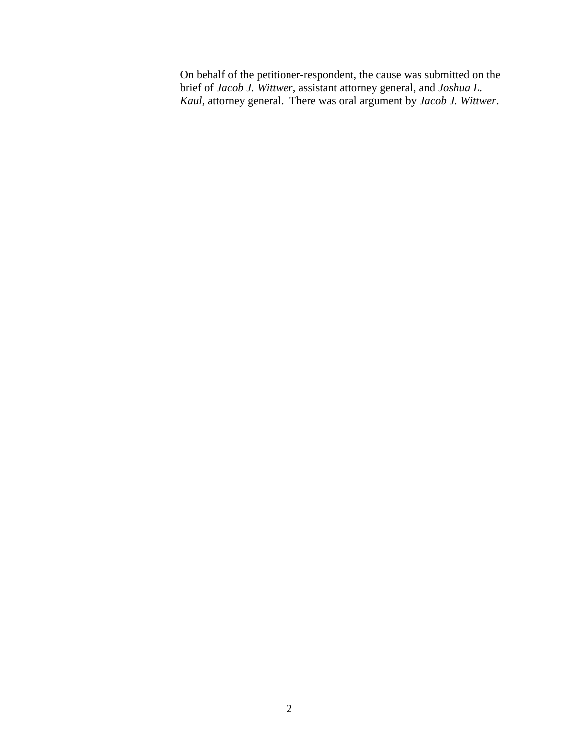On behalf of the petitioner-respondent, the cause was submitted on the brief of *Jacob J. Wittwer*, assistant attorney general, and *Joshua L. Kaul*, attorney general. There was oral argument by *Jacob J. Wittwer*.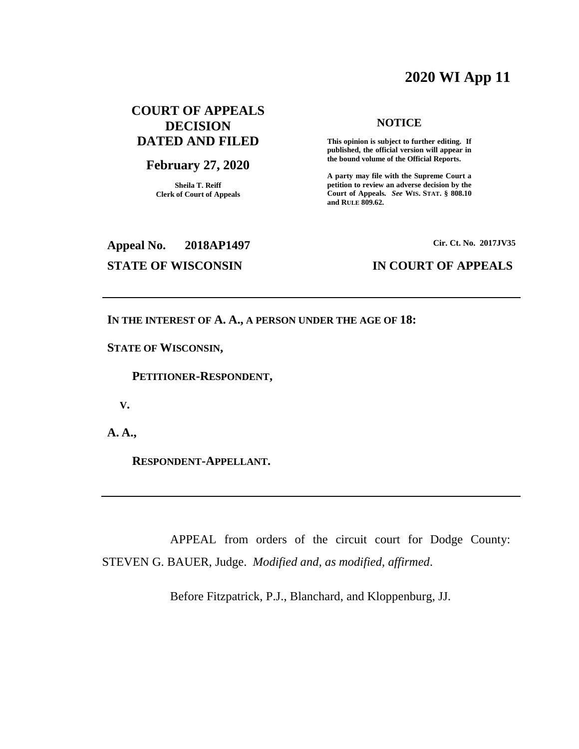# **2020 WI App 11**

# **COURT OF APPEALS DECISION DATED AND FILED**

#### **February 27, 2020**

**Sheila T. Reiff Clerk of Court of Appeals**

#### **NOTICE**

**This opinion is subject to further editing. If published, the official version will appear in the bound volume of the Official Reports.** 

**A party may file with the Supreme Court a petition to review an adverse decision by the Court of Appeals.** *See* **WIS. STAT. § 808.10 and RULE 809.62.** 

# **Appeal No. 2018AP1497 Cir. Ct. No. 2017JV35**

#### **STATE OF WISCONSIN IN COURT OF APPEALS**

**IN THE INTEREST OF A. A., A PERSON UNDER THE AGE OF 18:**

**STATE OF WISCONSIN,**

 **PETITIONER-RESPONDENT,**

 **V.**

**A. A.,**

 **RESPONDENT-APPELLANT.**

APPEAL from orders of the circuit court for Dodge County: STEVEN G. BAUER, Judge. *Modified and, as modified, affirmed*.

Before Fitzpatrick, P.J., Blanchard, and Kloppenburg, JJ.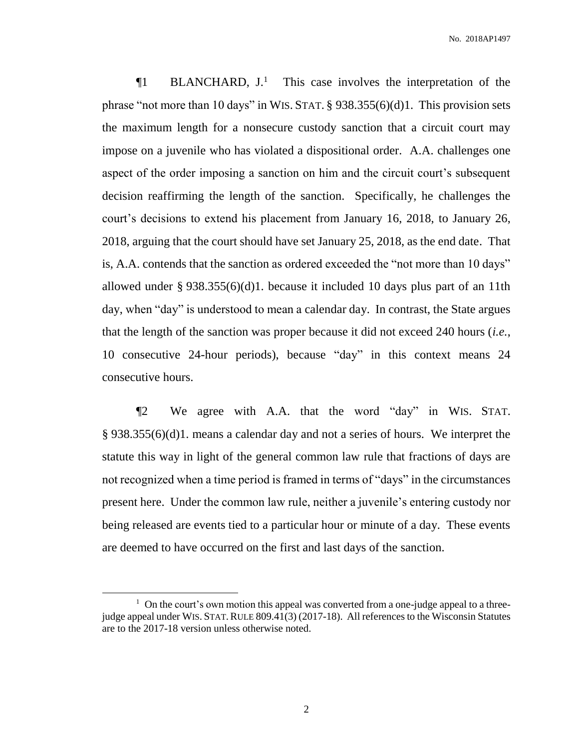$\P1$  BLANCHARD,  $J<sup>1</sup>$  This case involves the interpretation of the phrase "not more than 10 days" in WIS. STAT. § 938.355(6)(d)1. This provision sets the maximum length for a nonsecure custody sanction that a circuit court may impose on a juvenile who has violated a dispositional order. A.A. challenges one aspect of the order imposing a sanction on him and the circuit court's subsequent decision reaffirming the length of the sanction. Specifically, he challenges the court's decisions to extend his placement from January 16, 2018, to January 26, 2018, arguing that the court should have set January 25, 2018, as the end date. That is, A.A. contends that the sanction as ordered exceeded the "not more than 10 days" allowed under § 938.355(6)(d)1. because it included 10 days plus part of an 11th day, when "day" is understood to mean a calendar day. In contrast, the State argues that the length of the sanction was proper because it did not exceed 240 hours (*i.e.*, 10 consecutive 24-hour periods), because "day" in this context means 24 consecutive hours.

¶2 We agree with A.A. that the word "day" in WIS. STAT. § 938.355(6)(d)1. means a calendar day and not a series of hours. We interpret the statute this way in light of the general common law rule that fractions of days are not recognized when a time period is framed in terms of "days" in the circumstances present here. Under the common law rule, neither a juvenile's entering custody nor being released are events tied to a particular hour or minute of a day. These events are deemed to have occurred on the first and last days of the sanction.

 $\overline{a}$ 

<sup>&</sup>lt;sup>1</sup> On the court's own motion this appeal was converted from a one-judge appeal to a threejudge appeal under WIS. STAT.RULE 809.41(3) (2017-18). All references to the Wisconsin Statutes are to the 2017-18 version unless otherwise noted.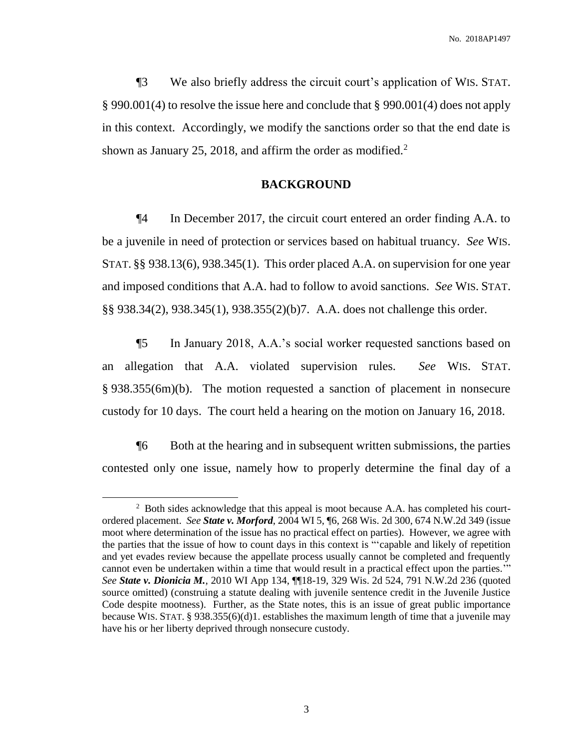¶3 We also briefly address the circuit court's application of WIS. STAT. § 990.001(4) to resolve the issue here and conclude that § 990.001(4) does not apply in this context. Accordingly, we modify the sanctions order so that the end date is shown as January 25, 2018, and affirm the order as modified. $2^2$ 

#### **BACKGROUND**

¶4 In December 2017, the circuit court entered an order finding A.A. to be a juvenile in need of protection or services based on habitual truancy. *See* WIS. STAT. §§ 938.13(6), 938.345(1). This order placed A.A. on supervision for one year and imposed conditions that A.A. had to follow to avoid sanctions. *See* WIS. STAT. §§ 938.34(2), 938.345(1), 938.355(2)(b)7. A.A. does not challenge this order.

¶5 In January 2018, A.A.'s social worker requested sanctions based on an allegation that A.A. violated supervision rules. *See* WIS. STAT. § 938.355(6m)(b). The motion requested a sanction of placement in nonsecure custody for 10 days. The court held a hearing on the motion on January 16, 2018.

¶6 Both at the hearing and in subsequent written submissions, the parties contested only one issue, namely how to properly determine the final day of a

<sup>&</sup>lt;sup>2</sup> Both sides acknowledge that this appeal is moot because A.A. has completed his courtordered placement. *See State v. Morford*, 2004 WI 5, ¶6, 268 Wis. 2d 300, 674 N.W.2d 349 (issue moot where determination of the issue has no practical effect on parties). However, we agree with the parties that the issue of how to count days in this context is "'capable and likely of repetition and yet evades review because the appellate process usually cannot be completed and frequently cannot even be undertaken within a time that would result in a practical effect upon the parties.'" *See State v. Dionicia M.*, 2010 WI App 134, ¶¶18-19, 329 Wis. 2d 524, 791 N.W.2d 236 (quoted source omitted) (construing a statute dealing with juvenile sentence credit in the Juvenile Justice Code despite mootness). Further, as the State notes, this is an issue of great public importance because WIS. STAT.  $\S 938.355(6)(d)1$ . establishes the maximum length of time that a juvenile may have his or her liberty deprived through nonsecure custody.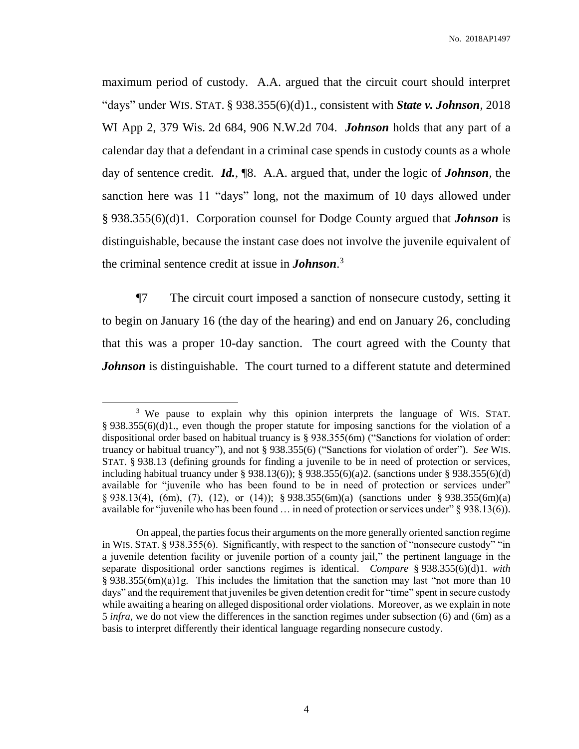maximum period of custody. A.A. argued that the circuit court should interpret "days" under WIS. STAT. § 938.355(6)(d)1., consistent with *State v. Johnson*, 2018 WI App 2, 379 Wis. 2d 684, 906 N.W.2d 704. *Johnson* holds that any part of a calendar day that a defendant in a criminal case spends in custody counts as a whole day of sentence credit. *Id.*, ¶8. A.A. argued that, under the logic of *Johnson*, the sanction here was 11 "days" long, not the maximum of 10 days allowed under § 938.355(6)(d)1. Corporation counsel for Dodge County argued that *Johnson* is distinguishable, because the instant case does not involve the juvenile equivalent of the criminal sentence credit at issue in *Johnson*. 3

¶7 The circuit court imposed a sanction of nonsecure custody, setting it to begin on January 16 (the day of the hearing) and end on January 26, concluding that this was a proper 10-day sanction. The court agreed with the County that *Johnson* is distinguishable. The court turned to a different statute and determined

<sup>&</sup>lt;sup>3</sup> We pause to explain why this opinion interprets the language of WIS. STAT.  $\S 938.355(6)(d)1$ , even though the proper statute for imposing sanctions for the violation of a dispositional order based on habitual truancy is § 938.355(6m) ("Sanctions for violation of order: truancy or habitual truancy"), and not § 938.355(6) ("Sanctions for violation of order"). *See* WIS. STAT. § 938.13 (defining grounds for finding a juvenile to be in need of protection or services, including habitual truancy under § 938.13(6)); § 938.355(6)(a)2. (sanctions under § 938.355(6)(d) available for "juvenile who has been found to be in need of protection or services under" § 938.13(4), (6m), (7), (12), or (14)); § 938.355(6m)(a) (sanctions under § 938.355(6m)(a) available for "juvenile who has been found … in need of protection or services under" § 938.13(6)).

On appeal, the parties focus their arguments on the more generally oriented sanction regime in WIS. STAT. § 938.355(6). Significantly, with respect to the sanction of "nonsecure custody" "in a juvenile detention facility or juvenile portion of a county jail," the pertinent language in the separate dispositional order sanctions regimes is identical. *Compare* § 938.355(6)(d)1. *with*  $\S$  938.355(6m)(a)1g. This includes the limitation that the sanction may last "not more than 10 days" and the requirement that juveniles be given detention credit for "time" spent in secure custody while awaiting a hearing on alleged dispositional order violations. Moreover, as we explain in note 5 *infra*, we do not view the differences in the sanction regimes under subsection (6) and (6m) as a basis to interpret differently their identical language regarding nonsecure custody.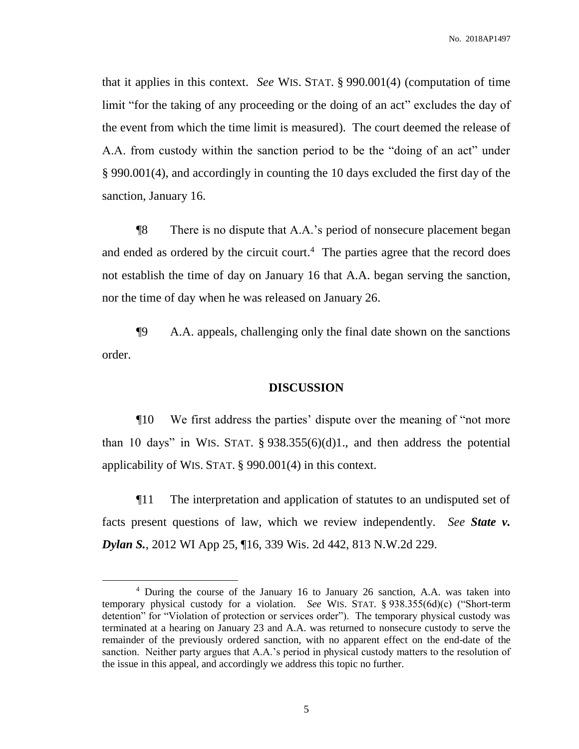that it applies in this context. *See* WIS. STAT. § 990.001(4) (computation of time limit "for the taking of any proceeding or the doing of an act" excludes the day of the event from which the time limit is measured). The court deemed the release of A.A. from custody within the sanction period to be the "doing of an act" under § 990.001(4), and accordingly in counting the 10 days excluded the first day of the sanction, January 16.

¶8 There is no dispute that A.A.'s period of nonsecure placement began and ended as ordered by the circuit court. <sup>4</sup> The parties agree that the record does not establish the time of day on January 16 that A.A. began serving the sanction, nor the time of day when he was released on January 26.

¶9 A.A. appeals, challenging only the final date shown on the sanctions order.

#### **DISCUSSION**

¶10 We first address the parties' dispute over the meaning of "not more than 10 days" in WIS. STAT.  $\S$  938.355(6)(d)1., and then address the potential applicability of WIS. STAT. § 990.001(4) in this context.

¶11 The interpretation and application of statutes to an undisputed set of facts present questions of law, which we review independently. *See State v. Dylan S.*, 2012 WI App 25, ¶16, 339 Wis. 2d 442, 813 N.W.2d 229.

<sup>4</sup> During the course of the January 16 to January 26 sanction, A.A. was taken into temporary physical custody for a violation. *See* WIS. STAT. § 938.355(6d)(c) ("Short-term detention" for "Violation of protection or services order"). The temporary physical custody was terminated at a hearing on January 23 and A.A. was returned to nonsecure custody to serve the remainder of the previously ordered sanction, with no apparent effect on the end-date of the sanction. Neither party argues that A.A.'s period in physical custody matters to the resolution of the issue in this appeal, and accordingly we address this topic no further.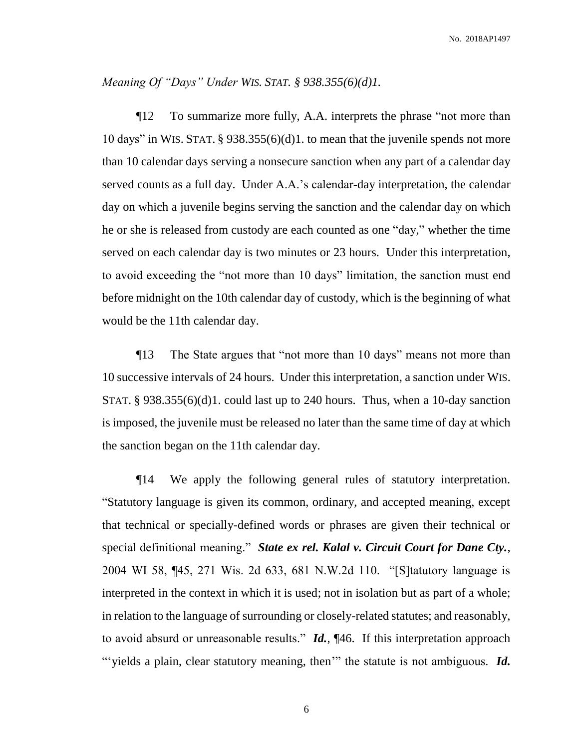#### *Meaning Of "Days" Under WIS. STAT. § 938.355(6)(d)1.*

¶12 To summarize more fully, A.A. interprets the phrase "not more than 10 days" in WIS. STAT. § 938.355(6)(d)1. to mean that the juvenile spends not more than 10 calendar days serving a nonsecure sanction when any part of a calendar day served counts as a full day. Under A.A.'s calendar-day interpretation, the calendar day on which a juvenile begins serving the sanction and the calendar day on which he or she is released from custody are each counted as one "day," whether the time served on each calendar day is two minutes or 23 hours. Under this interpretation, to avoid exceeding the "not more than 10 days" limitation, the sanction must end before midnight on the 10th calendar day of custody, which is the beginning of what would be the 11th calendar day.

¶13 The State argues that "not more than 10 days" means not more than 10 successive intervals of 24 hours. Under this interpretation, a sanction under WIS. STAT. § 938.355(6)(d)1. could last up to 240 hours. Thus, when a 10-day sanction is imposed, the juvenile must be released no later than the same time of day at which the sanction began on the 11th calendar day.

¶14 We apply the following general rules of statutory interpretation. "Statutory language is given its common, ordinary, and accepted meaning, except that technical or specially-defined words or phrases are given their technical or special definitional meaning." *State ex rel. Kalal v. Circuit Court for Dane Cty.*, 2004 WI 58, ¶45, 271 Wis. 2d 633, 681 N.W.2d 110. "[S]tatutory language is interpreted in the context in which it is used; not in isolation but as part of a whole; in relation to the language of surrounding or closely-related statutes; and reasonably, to avoid absurd or unreasonable results." *Id.*, ¶46. If this interpretation approach "yields a plain, clear statutory meaning, then<sup>"</sup> the statute is not ambiguous. *Id.*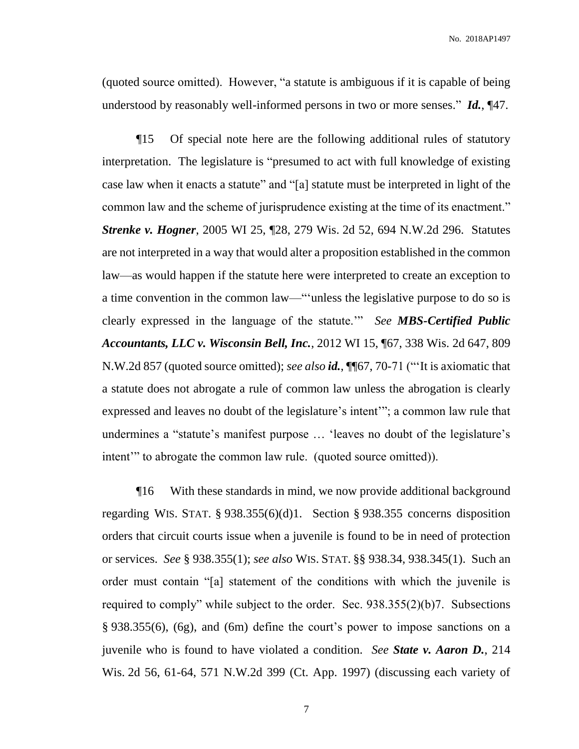(quoted source omitted). However, "a statute is ambiguous if it is capable of being understood by reasonably well-informed persons in two or more senses." *Id.*, ¶47.

¶15 Of special note here are the following additional rules of statutory interpretation. The legislature is "presumed to act with full knowledge of existing case law when it enacts a statute" and "[a] statute must be interpreted in light of the common law and the scheme of jurisprudence existing at the time of its enactment." *Strenke v. Hogner*, 2005 WI 25, ¶28, 279 Wis. 2d 52, 694 N.W.2d 296. Statutes are not interpreted in a way that would alter a proposition established in the common law—as would happen if the statute here were interpreted to create an exception to a time convention in the common law—"'unless the legislative purpose to do so is clearly expressed in the language of the statute.'" *See MBS-Certified Public Accountants, LLC v. Wisconsin Bell, Inc.*, 2012 WI 15, ¶67, 338 Wis. 2d 647, 809 N.W.2d 857 (quoted source omitted); *see also id.*, ¶¶67, 70-71 ("'It is axiomatic that a statute does not abrogate a rule of common law unless the abrogation is clearly expressed and leaves no doubt of the legislature's intent'"; a common law rule that undermines a "statute's manifest purpose … 'leaves no doubt of the legislature's intent'" to abrogate the common law rule. (quoted source omitted)).

¶16 With these standards in mind, we now provide additional background regarding WIS. STAT. § 938.355(6)(d)1. Section § 938.355 concerns disposition orders that circuit courts issue when a juvenile is found to be in need of protection or services. *See* § 938.355(1); *see also* WIS. STAT. §§ 938.34, 938.345(1). Such an order must contain "[a] statement of the conditions with which the juvenile is required to comply" while subject to the order. Sec. 938.355(2)(b)7. Subsections § 938.355(6), (6g), and (6m) define the court's power to impose sanctions on a juvenile who is found to have violated a condition. *See State v. Aaron D.*, 214 Wis. 2d 56, 61-64, 571 N.W.2d 399 (Ct. App. 1997) (discussing each variety of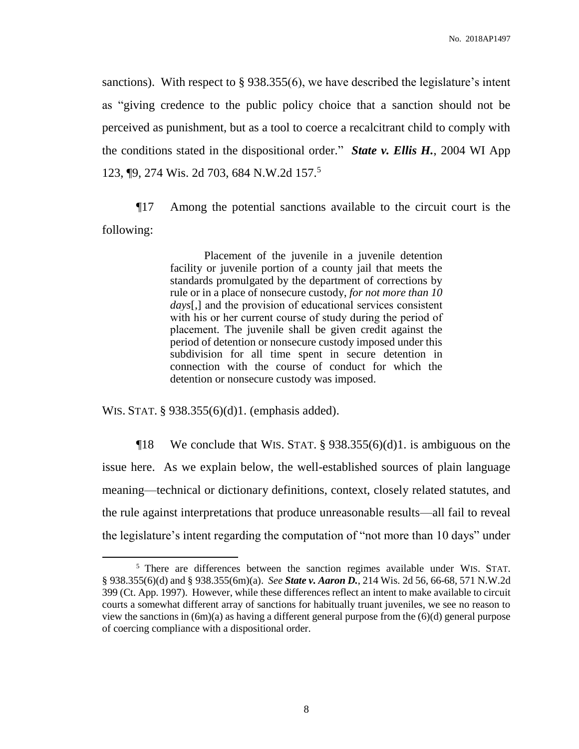sanctions). With respect to § 938.355(6), we have described the legislature's intent as "giving credence to the public policy choice that a sanction should not be perceived as punishment, but as a tool to coerce a recalcitrant child to comply with the conditions stated in the dispositional order." *State v. Ellis H.*, 2004 WI App 123, ¶9, 274 Wis. 2d 703, 684 N.W.2d 157.<sup>5</sup>

¶17 Among the potential sanctions available to the circuit court is the following:

> Placement of the juvenile in a juvenile detention facility or juvenile portion of a county jail that meets the standards promulgated by the department of corrections by rule or in a place of nonsecure custody, *for not more than 10 days*[,] and the provision of educational services consistent with his or her current course of study during the period of placement. The juvenile shall be given credit against the period of detention or nonsecure custody imposed under this subdivision for all time spent in secure detention in connection with the course of conduct for which the detention or nonsecure custody was imposed.

WIS. STAT. § 938.355(6)(d)1. (emphasis added).

 $\overline{a}$ 

 $\P$ 18 We conclude that WIS. STAT. § 938.355(6)(d)1. is ambiguous on the issue here. As we explain below, the well-established sources of plain language meaning—technical or dictionary definitions, context, closely related statutes, and the rule against interpretations that produce unreasonable results—all fail to reveal the legislature's intent regarding the computation of "not more than 10 days" under

<sup>&</sup>lt;sup>5</sup> There are differences between the sanction regimes available under WIS. STAT. § 938.355(6)(d) and § 938.355(6m)(a). *See State v. Aaron D.*, 214 Wis. 2d 56, 66-68, 571 N.W.2d 399 (Ct. App. 1997). However, while these differences reflect an intent to make available to circuit courts a somewhat different array of sanctions for habitually truant juveniles, we see no reason to view the sanctions in  $(6m)(a)$  as having a different general purpose from the  $(6)(d)$  general purpose of coercing compliance with a dispositional order.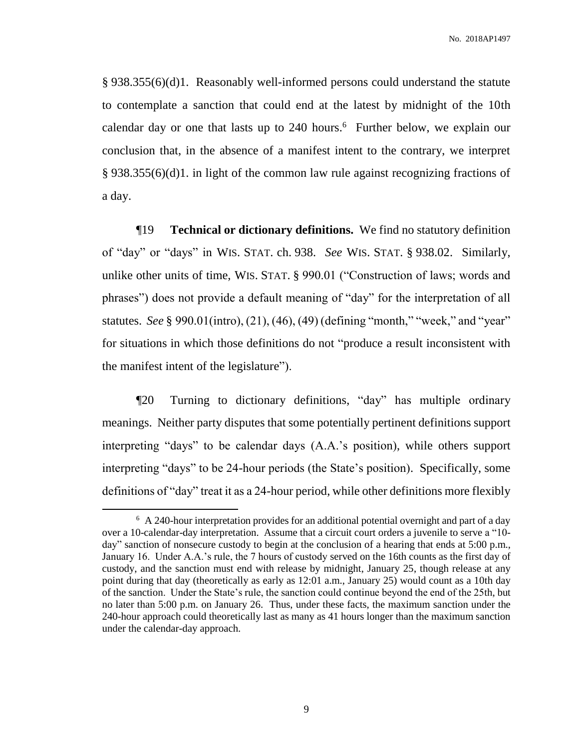§ 938.355(6)(d)1. Reasonably well-informed persons could understand the statute to contemplate a sanction that could end at the latest by midnight of the 10th calendar day or one that lasts up to  $240$  hours.<sup>6</sup> Further below, we explain our conclusion that, in the absence of a manifest intent to the contrary, we interpret § 938.355(6)(d)1. in light of the common law rule against recognizing fractions of a day.

¶19 **Technical or dictionary definitions.** We find no statutory definition of "day" or "days" in WIS. STAT. ch. 938. *See* WIS. STAT. § 938.02. Similarly, unlike other units of time, WIS. STAT. § 990.01 ("Construction of laws; words and phrases") does not provide a default meaning of "day" for the interpretation of all statutes. *See* § 990.01(intro), (21), (46), (49) (defining "month," "week," and "year" for situations in which those definitions do not "produce a result inconsistent with the manifest intent of the legislature").

¶20 Turning to dictionary definitions, "day" has multiple ordinary meanings. Neither party disputes that some potentially pertinent definitions support interpreting "days" to be calendar days (A.A.'s position), while others support interpreting "days" to be 24-hour periods (the State's position). Specifically, some definitions of "day" treat it as a 24-hour period, while other definitions more flexibly

 $\overline{a}$ 

<sup>&</sup>lt;sup>6</sup> A 240-hour interpretation provides for an additional potential overnight and part of a day over a 10-calendar-day interpretation. Assume that a circuit court orders a juvenile to serve a "10 day" sanction of nonsecure custody to begin at the conclusion of a hearing that ends at 5:00 p.m., January 16. Under A.A.'s rule, the 7 hours of custody served on the 16th counts as the first day of custody, and the sanction must end with release by midnight, January 25, though release at any point during that day (theoretically as early as 12:01 a.m., January 25) would count as a 10th day of the sanction. Under the State's rule, the sanction could continue beyond the end of the 25th, but no later than 5:00 p.m. on January 26. Thus, under these facts, the maximum sanction under the 240-hour approach could theoretically last as many as 41 hours longer than the maximum sanction under the calendar-day approach.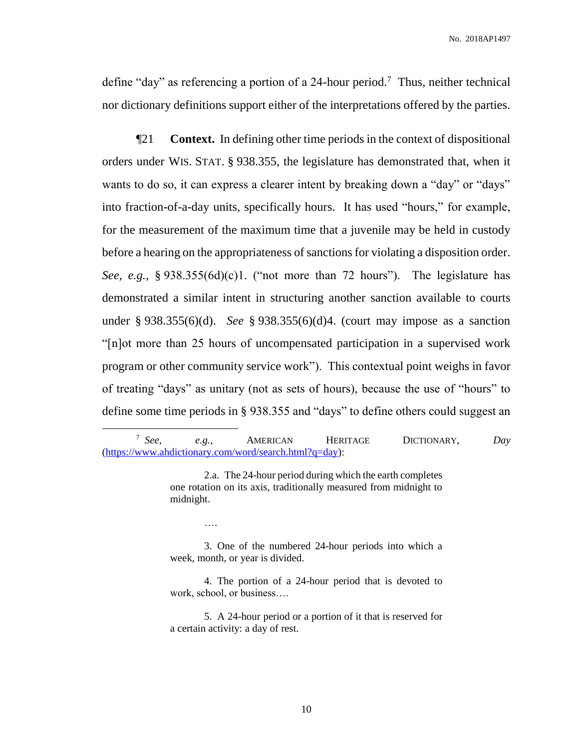define "day" as referencing a portion of a 24-hour period.<sup>7</sup> Thus, neither technical nor dictionary definitions support either of the interpretations offered by the parties.

¶21 **Context.** In defining other time periods in the context of dispositional orders under WIS. STAT. § 938.355, the legislature has demonstrated that, when it wants to do so, it can express a clearer intent by breaking down a "day" or "days" into fraction-of-a-day units, specifically hours. It has used "hours," for example, for the measurement of the maximum time that a juvenile may be held in custody before a hearing on the appropriateness of sanctions for violating a disposition order. *See, e.g.*, § 938.355(6d)(c)1. ("not more than 72 hours"). The legislature has demonstrated a similar intent in structuring another sanction available to courts under § 938.355(6)(d). *See* § 938.355(6)(d)4. (court may impose as a sanction "[n]ot more than 25 hours of uncompensated participation in a supervised work program or other community service work"). This contextual point weighs in favor of treating "days" as unitary (not as sets of hours), because the use of "hours" to define some time periods in § 938.355 and "days" to define others could suggest an

 $7$  See. *See, e.g.*, AMERICAN HERITAGE DICTIONARY, *Day* [\(https://www.ahdictionary.com/word/search.html?q=day\)](https://www.ahdictionary.com/word/search.html?q=day):

 $\overline{a}$ 

2.a. The 24-hour period during which the earth completes one rotation on its axis, traditionally measured from midnight to midnight.

….

3. One of the numbered 24-hour periods into which a week, month, or year is divided.

4. The portion of a 24-hour period that is devoted to work, school, or business….

5. A 24-hour period or a portion of it that is reserved for a certain activity: a day of rest.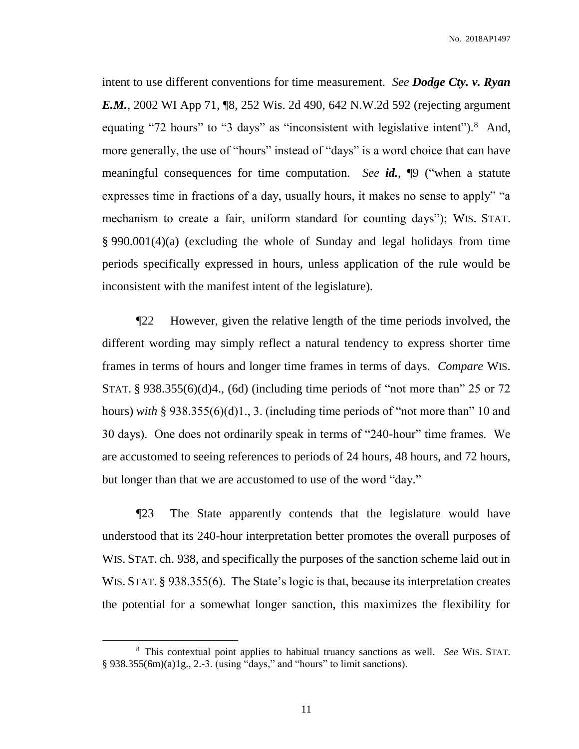intent to use different conventions for time measurement. *See Dodge Cty. v. Ryan E.M.*, 2002 WI App 71, ¶8, 252 Wis. 2d 490, 642 N.W.2d 592 (rejecting argument equating "72 hours" to "3 days" as "inconsistent with legislative intent").<sup>8</sup> And, more generally, the use of "hours" instead of "days" is a word choice that can have meaningful consequences for time computation. *See id.*, ¶9 ("when a statute expresses time in fractions of a day, usually hours, it makes no sense to apply" "a mechanism to create a fair, uniform standard for counting days"); WIS. STAT. § 990.001(4)(a) (excluding the whole of Sunday and legal holidays from time periods specifically expressed in hours, unless application of the rule would be inconsistent with the manifest intent of the legislature).

¶22 However, given the relative length of the time periods involved, the different wording may simply reflect a natural tendency to express shorter time frames in terms of hours and longer time frames in terms of days. *Compare* WIS. STAT. § 938.355(6)(d)4., (6d) (including time periods of "not more than" 25 or 72 hours) *with* § 938.355(6)(d)1., 3. (including time periods of "not more than" 10 and 30 days). One does not ordinarily speak in terms of "240-hour" time frames. We are accustomed to seeing references to periods of 24 hours, 48 hours, and 72 hours, but longer than that we are accustomed to use of the word "day."

¶23 The State apparently contends that the legislature would have understood that its 240-hour interpretation better promotes the overall purposes of WIS. STAT. ch. 938, and specifically the purposes of the sanction scheme laid out in WIS. STAT. § 938.355(6). The State's logic is that, because its interpretation creates the potential for a somewhat longer sanction, this maximizes the flexibility for

<sup>8</sup> This contextual point applies to habitual truancy sanctions as well. *See* WIS. STAT. § 938.355(6m)(a)1g., 2.-3. (using "days," and "hours" to limit sanctions).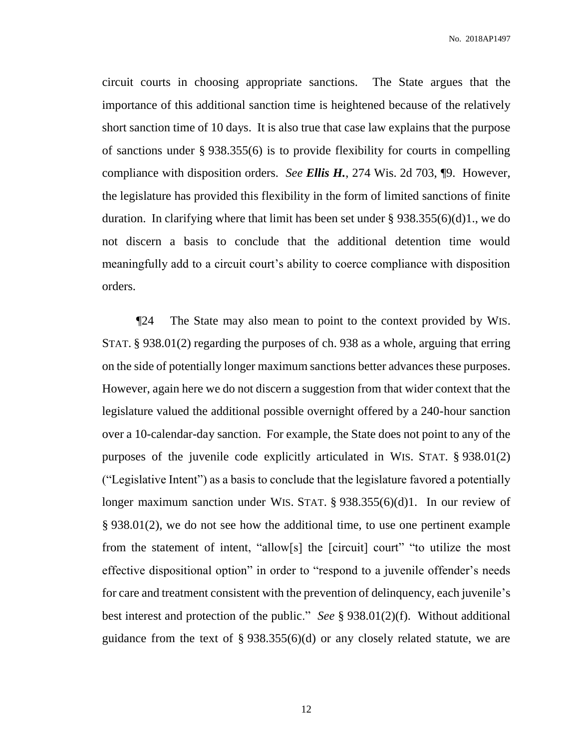circuit courts in choosing appropriate sanctions. The State argues that the importance of this additional sanction time is heightened because of the relatively short sanction time of 10 days. It is also true that case law explains that the purpose of sanctions under § 938.355(6) is to provide flexibility for courts in compelling compliance with disposition orders. *See Ellis H.*, 274 Wis. 2d 703, ¶9. However, the legislature has provided this flexibility in the form of limited sanctions of finite duration. In clarifying where that limit has been set under § 938.355(6)(d)1., we do not discern a basis to conclude that the additional detention time would meaningfully add to a circuit court's ability to coerce compliance with disposition orders.

¶24 The State may also mean to point to the context provided by WIS. STAT. § 938.01(2) regarding the purposes of ch. 938 as a whole, arguing that erring on the side of potentially longer maximum sanctions better advances these purposes. However, again here we do not discern a suggestion from that wider context that the legislature valued the additional possible overnight offered by a 240-hour sanction over a 10-calendar-day sanction. For example, the State does not point to any of the purposes of the juvenile code explicitly articulated in WIS. STAT. § 938.01(2) ("Legislative Intent") as a basis to conclude that the legislature favored a potentially longer maximum sanction under WIS. STAT. § 938.355(6)(d)1. In our review of § 938.01(2), we do not see how the additional time, to use one pertinent example from the statement of intent, "allow[s] the [circuit] court" "to utilize the most effective dispositional option" in order to "respond to a juvenile offender's needs for care and treatment consistent with the prevention of delinquency, each juvenile's best interest and protection of the public." *See* § 938.01(2)(f). Without additional guidance from the text of  $\S 938.355(6)(d)$  or any closely related statute, we are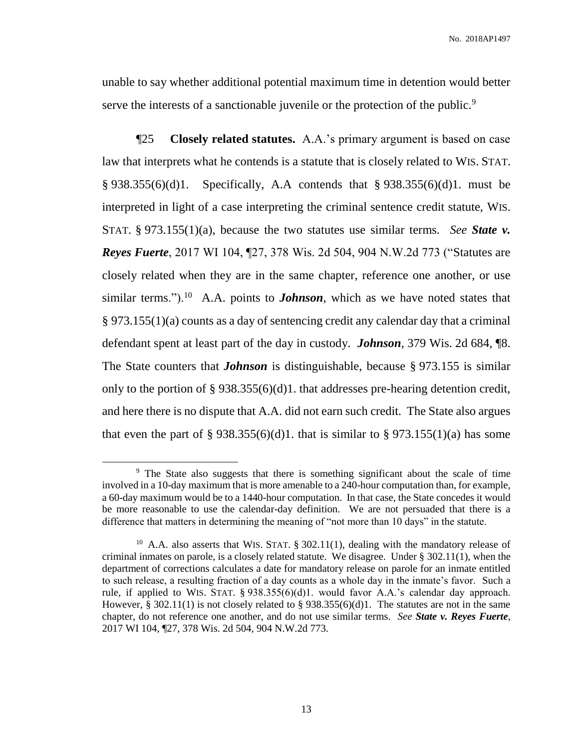unable to say whether additional potential maximum time in detention would better serve the interests of a sanctionable juvenile or the protection of the public.<sup>9</sup>

¶25 **Closely related statutes.** A.A.'s primary argument is based on case law that interprets what he contends is a statute that is closely related to WIS. STAT. § 938.355(6)(d)1. Specifically, A.A contends that § 938.355(6)(d)1. must be interpreted in light of a case interpreting the criminal sentence credit statute, WIS. STAT. § 973.155(1)(a), because the two statutes use similar terms. *See State v. Reyes Fuerte*, 2017 WI 104, ¶27, 378 Wis. 2d 504, 904 N.W.2d 773 ("Statutes are closely related when they are in the same chapter, reference one another, or use similar terms.").<sup>10</sup> A.A. points to *Johnson*, which as we have noted states that § 973.155(1)(a) counts as a day of sentencing credit any calendar day that a criminal defendant spent at least part of the day in custody. *Johnson*, 379 Wis. 2d 684, ¶8. The State counters that *Johnson* is distinguishable, because § 973.155 is similar only to the portion of § 938.355(6)(d)1. that addresses pre-hearing detention credit, and here there is no dispute that A.A. did not earn such credit. The State also argues that even the part of § 938.355(6)(d)1. that is similar to § 973.155(1)(a) has some

<sup>&</sup>lt;sup>9</sup> The State also suggests that there is something significant about the scale of time involved in a 10-day maximum that is more amenable to a 240-hour computation than, for example, a 60-day maximum would be to a 1440-hour computation. In that case, the State concedes it would be more reasonable to use the calendar-day definition. We are not persuaded that there is a difference that matters in determining the meaning of "not more than 10 days" in the statute.

<sup>&</sup>lt;sup>10</sup> A.A. also asserts that WIS. STAT. § 302.11(1), dealing with the mandatory release of criminal inmates on parole, is a closely related statute. We disagree. Under  $\S 302.11(1)$ , when the department of corrections calculates a date for mandatory release on parole for an inmate entitled to such release, a resulting fraction of a day counts as a whole day in the inmate's favor. Such a rule, if applied to WIS. STAT. § 938.355(6)(d)1. would favor A.A.'s calendar day approach. However, § 302.11(1) is not closely related to § 938.355(6)(d)1. The statutes are not in the same chapter, do not reference one another, and do not use similar terms. *See State v. Reyes Fuerte*, 2017 WI 104, ¶27, 378 Wis. 2d 504, 904 N.W.2d 773.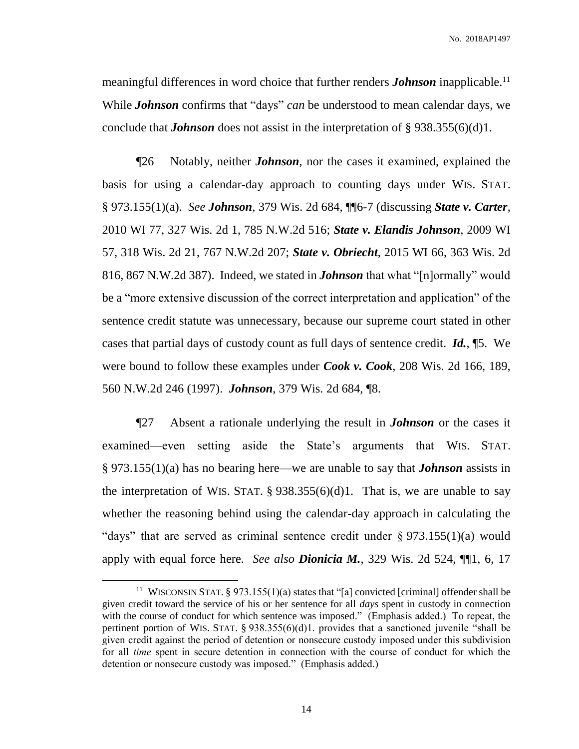meaningful differences in word choice that further renders *Johnson* inapplicable.<sup>11</sup> While *Johnson* confirms that "days" *can* be understood to mean calendar days, we conclude that *Johnson* does not assist in the interpretation of § 938.355(6)(d)1.

¶26 Notably, neither *Johnson*, nor the cases it examined, explained the basis for using a calendar-day approach to counting days under WIS. STAT. § 973.155(1)(a). *See Johnson*, 379 Wis. 2d 684, ¶¶6-7 (discussing *State v. Carter*, 2010 WI 77, 327 Wis. 2d 1, 785 N.W.2d 516; *State v. Elandis Johnson*, 2009 WI 57, 318 Wis. 2d 21, 767 N.W.2d 207; *State v. Obriecht*, 2015 WI 66, 363 Wis. 2d 816, 867 N.W.2d 387). Indeed, we stated in *Johnson* that what "[n]ormally" would be a "more extensive discussion of the correct interpretation and application" of the sentence credit statute was unnecessary, because our supreme court stated in other cases that partial days of custody count as full days of sentence credit. *Id.*, ¶5. We were bound to follow these examples under *Cook v. Cook*, 208 Wis. 2d 166, 189, 560 N.W.2d 246 (1997). *Johnson*, 379 Wis. 2d 684, ¶8.

¶27 Absent a rationale underlying the result in *Johnson* or the cases it examined—even setting aside the State's arguments that WIS. STAT. § 973.155(1)(a) has no bearing here—we are unable to say that *Johnson* assists in the interpretation of WIS. STAT.  $\S$  938.355(6)(d)1. That is, we are unable to say whether the reasoning behind using the calendar-day approach in calculating the "days" that are served as criminal sentence credit under  $\S 973.155(1)(a)$  would apply with equal force here. *See also Dionicia M.*, 329 Wis. 2d 524, ¶¶1, 6, 17

<sup>&</sup>lt;sup>11</sup> WISCONSIN STAT. § 973.155(1)(a) states that "[a] convicted [criminal] offender shall be given credit toward the service of his or her sentence for all *days* spent in custody in connection with the course of conduct for which sentence was imposed." (Emphasis added.) To repeat, the pertinent portion of WIS. STAT. § 938.355(6)(d)1. provides that a sanctioned juvenile "shall be given credit against the period of detention or nonsecure custody imposed under this subdivision for all *time* spent in secure detention in connection with the course of conduct for which the detention or nonsecure custody was imposed." (Emphasis added.)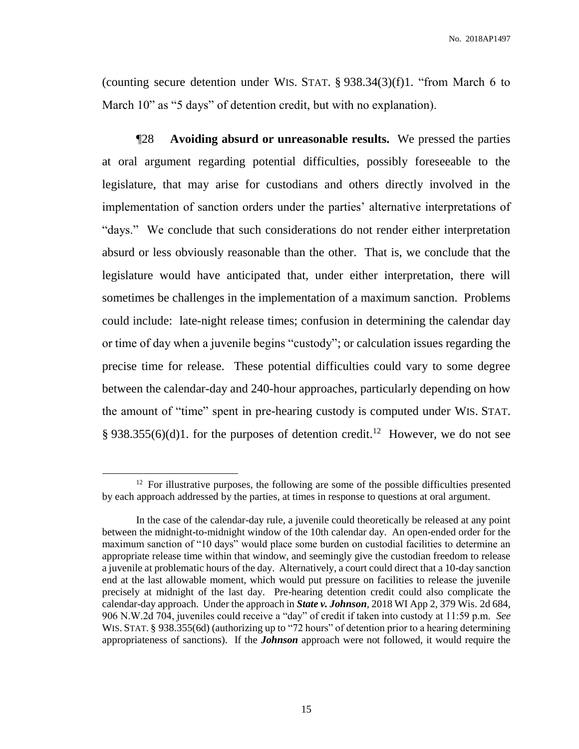(counting secure detention under WIS. STAT.  $\S$  938.34(3)(f)1. "from March 6 to March 10" as "5 days" of detention credit, but with no explanation).

¶28 **Avoiding absurd or unreasonable results.** We pressed the parties at oral argument regarding potential difficulties, possibly foreseeable to the legislature, that may arise for custodians and others directly involved in the implementation of sanction orders under the parties' alternative interpretations of "days." We conclude that such considerations do not render either interpretation absurd or less obviously reasonable than the other. That is, we conclude that the legislature would have anticipated that, under either interpretation, there will sometimes be challenges in the implementation of a maximum sanction. Problems could include: late-night release times; confusion in determining the calendar day or time of day when a juvenile begins "custody"; or calculation issues regarding the precise time for release. These potential difficulties could vary to some degree between the calendar-day and 240-hour approaches, particularly depending on how the amount of "time" spent in pre-hearing custody is computed under WIS. STAT. § 938.355(6)(d)1. for the purposes of detention credit.<sup>12</sup> However, we do not see

 $12$  For illustrative purposes, the following are some of the possible difficulties presented by each approach addressed by the parties, at times in response to questions at oral argument.

In the case of the calendar-day rule, a juvenile could theoretically be released at any point between the midnight-to-midnight window of the 10th calendar day. An open-ended order for the maximum sanction of "10 days" would place some burden on custodial facilities to determine an appropriate release time within that window, and seemingly give the custodian freedom to release a juvenile at problematic hours of the day. Alternatively, a court could direct that a 10-day sanction end at the last allowable moment, which would put pressure on facilities to release the juvenile precisely at midnight of the last day. Pre-hearing detention credit could also complicate the calendar-day approach. Under the approach in *State v. Johnson*, 2018 WI App 2, 379 Wis. 2d 684, 906 N.W.2d 704, juveniles could receive a "day" of credit if taken into custody at 11:59 p.m. *See* WIS. STAT. § 938.355(6d) (authorizing up to "72 hours" of detention prior to a hearing determining appropriateness of sanctions). If the *Johnson* approach were not followed, it would require the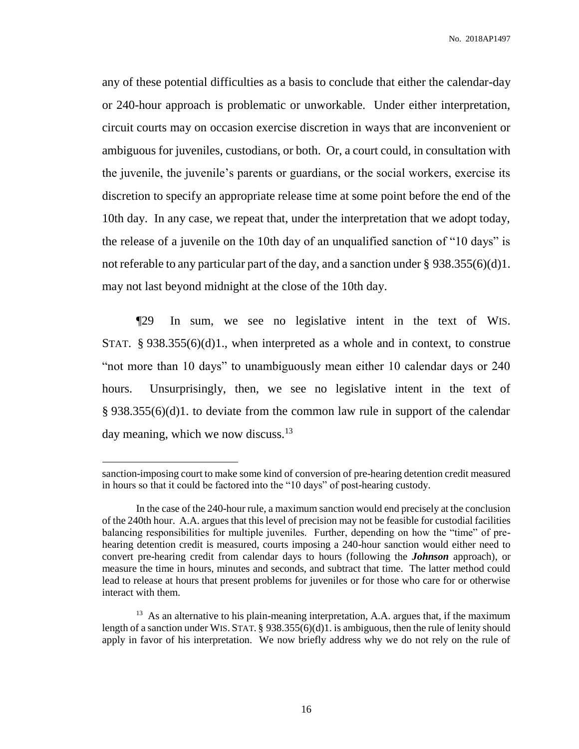any of these potential difficulties as a basis to conclude that either the calendar-day or 240-hour approach is problematic or unworkable. Under either interpretation, circuit courts may on occasion exercise discretion in ways that are inconvenient or ambiguous for juveniles, custodians, or both. Or, a court could, in consultation with the juvenile, the juvenile's parents or guardians, or the social workers, exercise its discretion to specify an appropriate release time at some point before the end of the 10th day. In any case, we repeat that, under the interpretation that we adopt today, the release of a juvenile on the 10th day of an unqualified sanction of "10 days" is not referable to any particular part of the day, and a sanction under § 938.355(6)(d)1. may not last beyond midnight at the close of the 10th day.

¶29 In sum, we see no legislative intent in the text of WIS. STAT. § 938.355(6)(d)1., when interpreted as a whole and in context, to construe "not more than 10 days" to unambiguously mean either 10 calendar days or 240 hours. Unsurprisingly, then, we see no legislative intent in the text of § 938.355(6)(d)1. to deviate from the common law rule in support of the calendar day meaning, which we now discuss.<sup>13</sup>

sanction-imposing court to make some kind of conversion of pre-hearing detention credit measured in hours so that it could be factored into the "10 days" of post-hearing custody.

In the case of the 240-hour rule, a maximum sanction would end precisely at the conclusion of the 240th hour. A.A. argues that this level of precision may not be feasible for custodial facilities balancing responsibilities for multiple juveniles. Further, depending on how the "time" of prehearing detention credit is measured, courts imposing a 240-hour sanction would either need to convert pre-hearing credit from calendar days to hours (following the *Johnson* approach), or measure the time in hours, minutes and seconds, and subtract that time. The latter method could lead to release at hours that present problems for juveniles or for those who care for or otherwise interact with them.

<sup>&</sup>lt;sup>13</sup> As an alternative to his plain-meaning interpretation, A.A. argues that, if the maximum length of a sanction under WIS. STAT. § 938.355(6)(d)1. is ambiguous, then the rule of lenity should apply in favor of his interpretation. We now briefly address why we do not rely on the rule of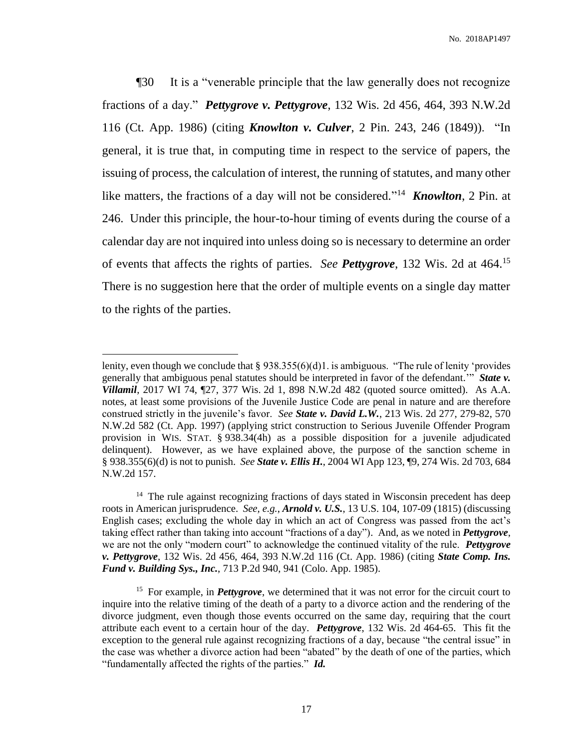¶30 It is a "venerable principle that the law generally does not recognize fractions of a day." *Pettygrove v. Pettygrove*, 132 Wis. 2d 456, 464, 393 N.W.2d 116 (Ct. App. 1986) (citing *Knowlton v. Culver*, 2 Pin. 243, 246 (1849)). "In general, it is true that, in computing time in respect to the service of papers, the issuing of process, the calculation of interest, the running of statutes, and many other like matters, the fractions of a day will not be considered."<sup>14</sup> *Knowlton*, 2 Pin. at 246. Under this principle, the hour-to-hour timing of events during the course of a calendar day are not inquired into unless doing so is necessary to determine an order of events that affects the rights of parties. *See Pettygrove*, 132 Wis. 2d at 464.<sup>15</sup> There is no suggestion here that the order of multiple events on a single day matter to the rights of the parties.

lenity, even though we conclude that  $\S 938.355(6)(d)1$ . is ambiguous. "The rule of lenity 'provides generally that ambiguous penal statutes should be interpreted in favor of the defendant.'" *State v. Villamil*, 2017 WI 74, ¶27, 377 Wis. 2d 1, 898 N.W.2d 482 (quoted source omitted). As A.A. notes, at least some provisions of the Juvenile Justice Code are penal in nature and are therefore construed strictly in the juvenile's favor. *See State v. David L.W.*, 213 Wis. 2d 277, 279-82, 570 N.W.2d 582 (Ct. App. 1997) (applying strict construction to Serious Juvenile Offender Program provision in WIS. STAT. § 938.34(4h) as a possible disposition for a juvenile adjudicated delinquent). However, as we have explained above, the purpose of the sanction scheme in § 938.355(6)(d) is not to punish. *See State v. Ellis H.*, 2004 WI App 123, ¶9, 274 Wis. 2d 703, 684 N.W.2d 157.

<sup>&</sup>lt;sup>14</sup> The rule against recognizing fractions of days stated in Wisconsin precedent has deep roots in American jurisprudence. *See, e.g.*, *Arnold v. U.S.*, 13 U.S. 104, 107-09 (1815) (discussing English cases; excluding the whole day in which an act of Congress was passed from the act's taking effect rather than taking into account "fractions of a day"). And, as we noted in *Pettygrove*, we are not the only "modern court" to acknowledge the continued vitality of the rule. *Pettygrove v. Pettygrove*, 132 Wis. 2d 456, 464, 393 N.W.2d 116 (Ct. App. 1986) (citing *State Comp. Ins. Fund v. Building Sys., Inc.*, 713 P.2d 940, 941 (Colo. App. 1985).

<sup>&</sup>lt;sup>15</sup> For example, in *Pettygrove*, we determined that it was not error for the circuit court to inquire into the relative timing of the death of a party to a divorce action and the rendering of the divorce judgment, even though those events occurred on the same day, requiring that the court attribute each event to a certain hour of the day. *Pettygrove*, 132 Wis. 2d 464-65. This fit the exception to the general rule against recognizing fractions of a day, because "the central issue" in the case was whether a divorce action had been "abated" by the death of one of the parties, which "fundamentally affected the rights of the parties." *Id.*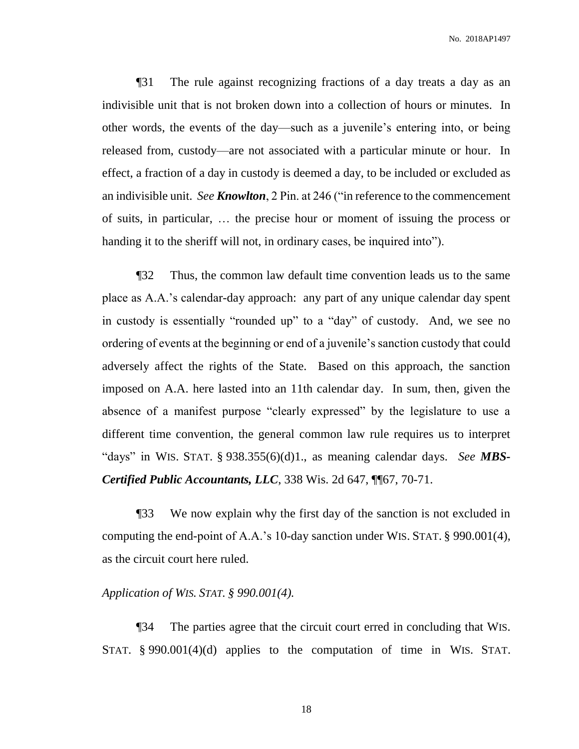¶31 The rule against recognizing fractions of a day treats a day as an indivisible unit that is not broken down into a collection of hours or minutes. In other words, the events of the day—such as a juvenile's entering into, or being released from, custody—are not associated with a particular minute or hour. In effect, a fraction of a day in custody is deemed a day, to be included or excluded as an indivisible unit. *See Knowlton*, 2 Pin. at 246 ("in reference to the commencement of suits, in particular, … the precise hour or moment of issuing the process or handing it to the sheriff will not, in ordinary cases, be inquired into").

¶32 Thus, the common law default time convention leads us to the same place as A.A.'s calendar-day approach: any part of any unique calendar day spent in custody is essentially "rounded up" to a "day" of custody. And, we see no ordering of events at the beginning or end of a juvenile's sanction custody that could adversely affect the rights of the State. Based on this approach, the sanction imposed on A.A. here lasted into an 11th calendar day. In sum, then, given the absence of a manifest purpose "clearly expressed" by the legislature to use a different time convention, the general common law rule requires us to interpret "days" in WIS. STAT. § 938.355(6)(d)1., as meaning calendar days. *See MBS-Certified Public Accountants, LLC*, 338 Wis. 2d 647, ¶¶67, 70-71.

¶33 We now explain why the first day of the sanction is not excluded in computing the end-point of A.A.'s 10-day sanction under WIS. STAT. § 990.001(4), as the circuit court here ruled.

#### *Application of WIS. STAT. § 990.001(4).*

¶34 The parties agree that the circuit court erred in concluding that WIS. STAT. § 990.001(4)(d) applies to the computation of time in WIS. STAT.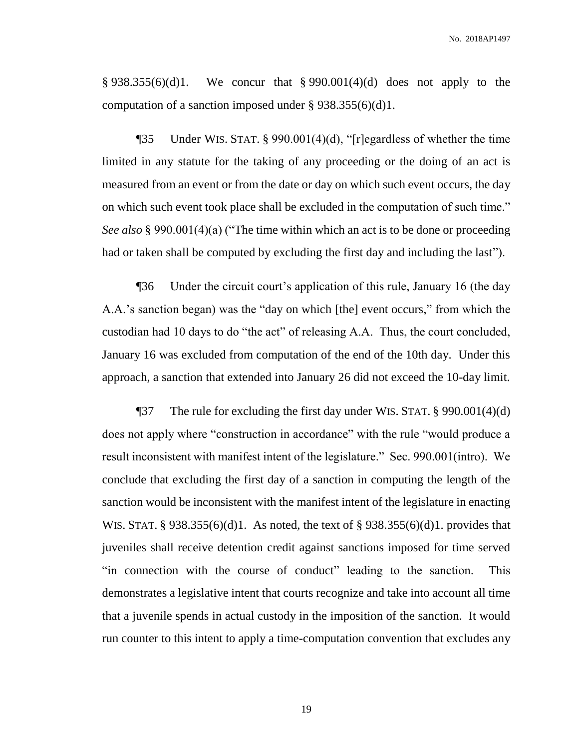§ 938.355(6)(d)1. We concur that § 990.001(4)(d) does not apply to the computation of a sanction imposed under  $\S 938.355(6)(d)1$ .

¶35 Under WIS. STAT. § 990.001(4)(d), "[r]egardless of whether the time limited in any statute for the taking of any proceeding or the doing of an act is measured from an event or from the date or day on which such event occurs, the day on which such event took place shall be excluded in the computation of such time." *See also* § 990.001(4)(a) ("The time within which an act is to be done or proceeding had or taken shall be computed by excluding the first day and including the last").

¶36 Under the circuit court's application of this rule, January 16 (the day A.A.'s sanction began) was the "day on which [the] event occurs," from which the custodian had 10 days to do "the act" of releasing A.A. Thus, the court concluded, January 16 was excluded from computation of the end of the 10th day. Under this approach, a sanction that extended into January 26 did not exceed the 10-day limit.

¶37 The rule for excluding the first day under WIS. STAT. § 990.001(4)(d) does not apply where "construction in accordance" with the rule "would produce a result inconsistent with manifest intent of the legislature." Sec. 990.001(intro). We conclude that excluding the first day of a sanction in computing the length of the sanction would be inconsistent with the manifest intent of the legislature in enacting WIS. STAT. § 938.355(6)(d)1. As noted, the text of § 938.355(6)(d)1. provides that juveniles shall receive detention credit against sanctions imposed for time served "in connection with the course of conduct" leading to the sanction. This demonstrates a legislative intent that courts recognize and take into account all time that a juvenile spends in actual custody in the imposition of the sanction. It would run counter to this intent to apply a time-computation convention that excludes any